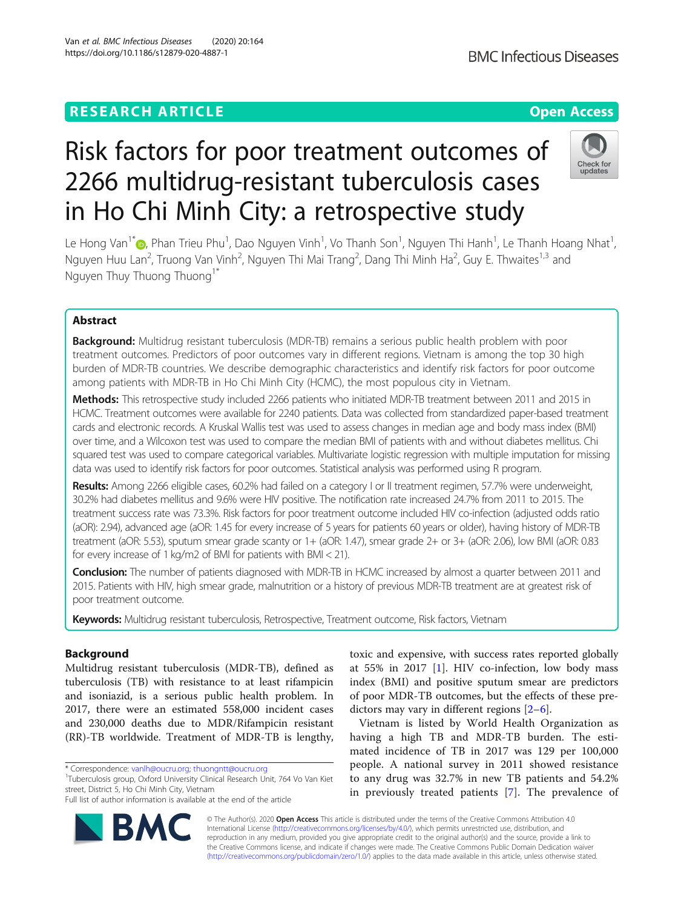# **RESEARCH ARTICLE Example 2014 12:30 The Contract of Contract ACCESS**

https://doi.org/10.1186/s12879-020-4887-1

# Risk factors for poor treatment outcomes of 2266 multidrug-resistant tuberculosis cases in Ho Chi Minh City: a retrospective study

Le Hong Van<sup>1[\\*](http://orcid.org/0000-0003-3151-834X)</sup>©, Phan Trieu Phu<sup>1</sup>, Dao Nguyen Vinh<sup>1</sup>, Vo Thanh Son<sup>1</sup>, Nguyen Thi Hanh<sup>1</sup>, Le Thanh Hoang Nhat<sup>1</sup> , Nguyen Huu Lan<sup>2</sup>, Truong Van Vinh<sup>2</sup>, Nguyen Thi Mai Trang<sup>2</sup>, Dang Thi Minh Ha<sup>2</sup>, Guy E. Thwaites<sup>1,3</sup> and Nguyen Thuy Thuong Thuong<sup>1\*</sup>

# Abstract

**Background:** Multidrug resistant tuberculosis (MDR-TB) remains a serious public health problem with poor treatment outcomes. Predictors of poor outcomes vary in different regions. Vietnam is among the top 30 high burden of MDR-TB countries. We describe demographic characteristics and identify risk factors for poor outcome among patients with MDR-TB in Ho Chi Minh City (HCMC), the most populous city in Vietnam.

Methods: This retrospective study included 2266 patients who initiated MDR-TB treatment between 2011 and 2015 in HCMC. Treatment outcomes were available for 2240 patients. Data was collected from standardized paper-based treatment cards and electronic records. A Kruskal Wallis test was used to assess changes in median age and body mass index (BMI) over time, and a Wilcoxon test was used to compare the median BMI of patients with and without diabetes mellitus. Chi squared test was used to compare categorical variables. Multivariate logistic regression with multiple imputation for missing data was used to identify risk factors for poor outcomes. Statistical analysis was performed using R program.

Results: Among 2266 eligible cases, 60.2% had failed on a category I or II treatment regimen, 57.7% were underweight, 30.2% had diabetes mellitus and 9.6% were HIV positive. The notification rate increased 24.7% from 2011 to 2015. The treatment success rate was 73.3%. Risk factors for poor treatment outcome included HIV co-infection (adjusted odds ratio (aOR): 2.94), advanced age (aOR: 1.45 for every increase of 5 years for patients 60 years or older), having history of MDR-TB treatment (aOR: 5.53), sputum smear grade scanty or 1+ (aOR: 1.47), smear grade 2+ or 3+ (aOR: 2.06), low BMI (aOR: 0.83 for every increase of 1 kg/m2 of BMI for patients with BMI < 21).

Conclusion: The number of patients diagnosed with MDR-TB in HCMC increased by almost a quarter between 2011 and 2015. Patients with HIV, high smear grade, malnutrition or a history of previous MDR-TB treatment are at greatest risk of poor treatment outcome.

Keywords: Multidrug resistant tuberculosis, Retrospective, Treatment outcome, Risk factors, Vietnam

# Background

Multidrug resistant tuberculosis (MDR-TB), defined as tuberculosis (TB) with resistance to at least rifampicin and isoniazid, is a serious public health problem. In 2017, there were an estimated 558,000 incident cases and 230,000 deaths due to MDR/Rifampicin resistant (RR)-TB worldwide. Treatment of MDR-TB is lengthy,

\* Correspondence: [vanlh@oucru.org;](mailto:vanlh@oucru.org) [thuongntt@oucru.org](mailto:thuongntt@oucru.org) <sup>1</sup>

<sup>1</sup>Tuberculosis group, Oxford University Clinical Research Unit, 764 Vo Van Kiet street, District 5, Ho Chi Minh City, Vietnam

Full list of author information is available at the end of the article

toxic and expensive, with success rates reported globally at 55% in 2017 [[1\]](#page-8-0). HIV co-infection, low body mass index (BMI) and positive sputum smear are predictors of poor MDR-TB outcomes, but the effects of these predictors may vary in different regions [[2](#page-8-0)–[6](#page-8-0)].

Vietnam is listed by World Health Organization as having a high TB and MDR-TB burden. The estimated incidence of TB in 2017 was 129 per 100,000 people. A national survey in 2011 showed resistance to any drug was 32.7% in new TB patients and 54.2% in previously treated patients [[7\]](#page-8-0). The prevalence of

© The Author(s). 2020 **Open Access** This article is distributed under the terms of the Creative Commons Attribution 4.0 International License [\(http://creativecommons.org/licenses/by/4.0/](http://creativecommons.org/licenses/by/4.0/)), which permits unrestricted use, distribution, and reproduction in any medium, provided you give appropriate credit to the original author(s) and the source, provide a link to the Creative Commons license, and indicate if changes were made. The Creative Commons Public Domain Dedication waiver [\(http://creativecommons.org/publicdomain/zero/1.0/](http://creativecommons.org/publicdomain/zero/1.0/)) applies to the data made available in this article, unless otherwise stated.





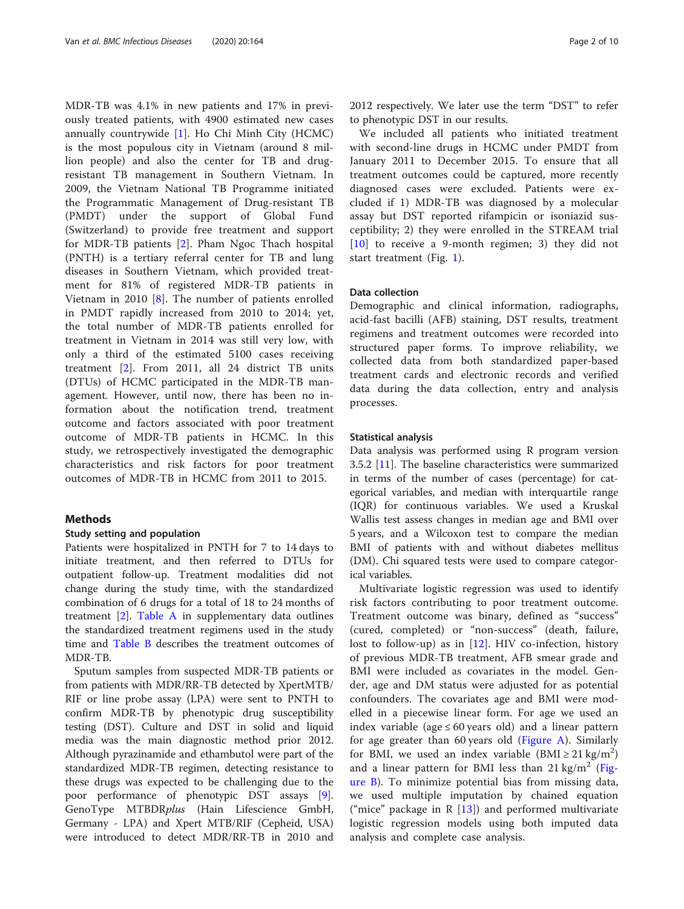MDR-TB was 4.1% in new patients and 17% in previously treated patients, with 4900 estimated new cases annually countrywide [[1\]](#page-8-0). Ho Chi Minh City (HCMC) is the most populous city in Vietnam (around 8 million people) and also the center for TB and drugresistant TB management in Southern Vietnam. In 2009, the Vietnam National TB Programme initiated the Programmatic Management of Drug-resistant TB (PMDT) under the support of Global Fund (Switzerland) to provide free treatment and support for MDR-TB patients [[2](#page-8-0)]. Pham Ngoc Thach hospital (PNTH) is a tertiary referral center for TB and lung diseases in Southern Vietnam, which provided treatment for 81% of registered MDR-TB patients in Vietnam in 2010 [[8\]](#page-8-0). The number of patients enrolled in PMDT rapidly increased from 2010 to 2014; yet, the total number of MDR-TB patients enrolled for treatment in Vietnam in 2014 was still very low, with only a third of the estimated 5100 cases receiving treatment [\[2](#page-8-0)]. From 2011, all 24 district TB units (DTUs) of HCMC participated in the MDR-TB management. However, until now, there has been no information about the notification trend, treatment outcome and factors associated with poor treatment outcome of MDR-TB patients in HCMC. In this study, we retrospectively investigated the demographic characteristics and risk factors for poor treatment outcomes of MDR-TB in HCMC from 2011 to 2015.

# Methods

# Study setting and population

Patients were hospitalized in PNTH for 7 to 14 days to initiate treatment, and then referred to DTUs for outpatient follow-up. Treatment modalities did not change during the study time, with the standardized combination of 6 drugs for a total of 18 to 24 months of treatment  $[2]$  $[2]$  $[2]$ . [Table A](#page-8-0) in supplementary data outlines the standardized treatment regimens used in the study time and [Table B](#page-8-0) describes the treatment outcomes of MDR-TB.

Sputum samples from suspected MDR-TB patients or from patients with MDR/RR-TB detected by XpertMTB/ RIF or line probe assay (LPA) were sent to PNTH to confirm MDR-TB by phenotypic drug susceptibility testing (DST). Culture and DST in solid and liquid media was the main diagnostic method prior 2012. Although pyrazinamide and ethambutol were part of the standardized MDR-TB regimen, detecting resistance to these drugs was expected to be challenging due to the poor performance of phenotypic DST assays [\[9](#page-8-0)]. GenoType MTBDRplus (Hain Lifescience GmbH, Germany - LPA) and Xpert MTB/RIF (Cepheid, USA) were introduced to detect MDR/RR-TB in 2010 and 2012 respectively. We later use the term "DST" to refer to phenotypic DST in our results.

We included all patients who initiated treatment with second-line drugs in HCMC under PMDT from January 2011 to December 2015. To ensure that all treatment outcomes could be captured, more recently diagnosed cases were excluded. Patients were excluded if 1) MDR-TB was diagnosed by a molecular assay but DST reported rifampicin or isoniazid susceptibility; 2) they were enrolled in the STREAM trial [[10\]](#page-8-0) to receive a 9-month regimen; 3) they did not start treatment (Fig. [1](#page-2-0)).

## Data collection

Demographic and clinical information, radiographs, acid-fast bacilli (AFB) staining, DST results, treatment regimens and treatment outcomes were recorded into structured paper forms. To improve reliability, we collected data from both standardized paper-based treatment cards and electronic records and verified data during the data collection, entry and analysis processes.

# Statistical analysis

Data analysis was performed using R program version 3.5.2 [\[11](#page-8-0)]. The baseline characteristics were summarized in terms of the number of cases (percentage) for categorical variables, and median with interquartile range (IQR) for continuous variables. We used a Kruskal Wallis test assess changes in median age and BMI over 5 years, and a Wilcoxon test to compare the median BMI of patients with and without diabetes mellitus (DM). Chi squared tests were used to compare categorical variables.

Multivariate logistic regression was used to identify risk factors contributing to poor treatment outcome. Treatment outcome was binary, defined as "success" (cured, completed) or "non-success" (death, failure, lost to follow-up) as in  $[12]$  $[12]$ . HIV co-infection, history of previous MDR-TB treatment, AFB smear grade and BMI were included as covariates in the model. Gender, age and DM status were adjusted for as potential confounders. The covariates age and BMI were modelled in a piecewise linear form. For age we used an index variable (age  $\leq 60$  years old) and a linear pattern for age greater than 60 years old [\(Figure A](#page-8-0)). Similarly for BMI, we used an index variable  $(BMI \ge 21 \text{ kg/m}^2)$ and a linear pattern for BMI less than 21 kg/m<sup>2</sup> [\(Fig](#page-8-0)[ure B](#page-8-0)). To minimize potential bias from missing data, we used multiple imputation by chained equation ("mice" package in  $R$  [[13\]](#page-8-0)) and performed multivariate logistic regression models using both imputed data analysis and complete case analysis.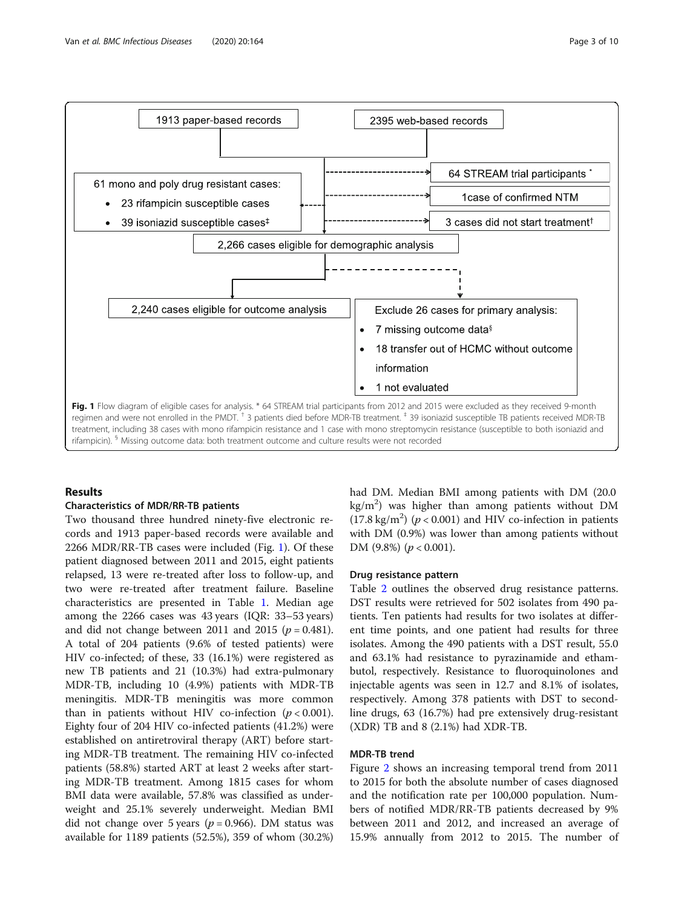<span id="page-2-0"></span>

# Results

## Characteristics of MDR/RR-TB patients

Two thousand three hundred ninety-five electronic records and 1913 paper-based records were available and 2266 MDR/RR-TB cases were included (Fig. 1). Of these patient diagnosed between 2011 and 2015, eight patients relapsed, 13 were re-treated after loss to follow-up, and two were re-treated after treatment failure. Baseline characteristics are presented in Table [1](#page-3-0). Median age among the 2266 cases was 43 years (IQR: 33–53 years) and did not change between 2011 and 2015 ( $p = 0.481$ ). A total of 204 patients (9.6% of tested patients) were HIV co-infected; of these, 33 (16.1%) were registered as new TB patients and 21 (10.3%) had extra-pulmonary MDR-TB, including 10 (4.9%) patients with MDR-TB meningitis. MDR-TB meningitis was more common than in patients without HIV co-infection ( $p < 0.001$ ). Eighty four of 204 HIV co-infected patients (41.2%) were established on antiretroviral therapy (ART) before starting MDR-TB treatment. The remaining HIV co-infected patients (58.8%) started ART at least 2 weeks after starting MDR-TB treatment. Among 1815 cases for whom BMI data were available, 57.8% was classified as underweight and 25.1% severely underweight. Median BMI did not change over 5 years ( $p = 0.966$ ). DM status was available for 1189 patients (52.5%), 359 of whom (30.2%) had DM. Median BMI among patients with DM (20.0  $kg/m<sup>2</sup>$ ) was higher than among patients without DM  $(17.8 \text{ kg/m}^2)$  ( $p < 0.001$ ) and HIV co-infection in patients with DM (0.9%) was lower than among patients without DM  $(9.8\%)$   $(p < 0.001)$ .

## Drug resistance pattern

Table [2](#page-4-0) outlines the observed drug resistance patterns. DST results were retrieved for 502 isolates from 490 patients. Ten patients had results for two isolates at different time points, and one patient had results for three isolates. Among the 490 patients with a DST result, 55.0 and 63.1% had resistance to pyrazinamide and ethambutol, respectively. Resistance to fluoroquinolones and injectable agents was seen in 12.7 and 8.1% of isolates, respectively. Among 378 patients with DST to secondline drugs, 63 (16.7%) had pre extensively drug-resistant  $(XDR)$  TB and 8  $(2.1%)$  had XDR-TB.

# MDR-TB trend

Figure [2](#page-5-0) shows an increasing temporal trend from 2011 to 2015 for both the absolute number of cases diagnosed and the notification rate per 100,000 population. Numbers of notified MDR/RR-TB patients decreased by 9% between 2011 and 2012, and increased an average of 15.9% annually from 2012 to 2015. The number of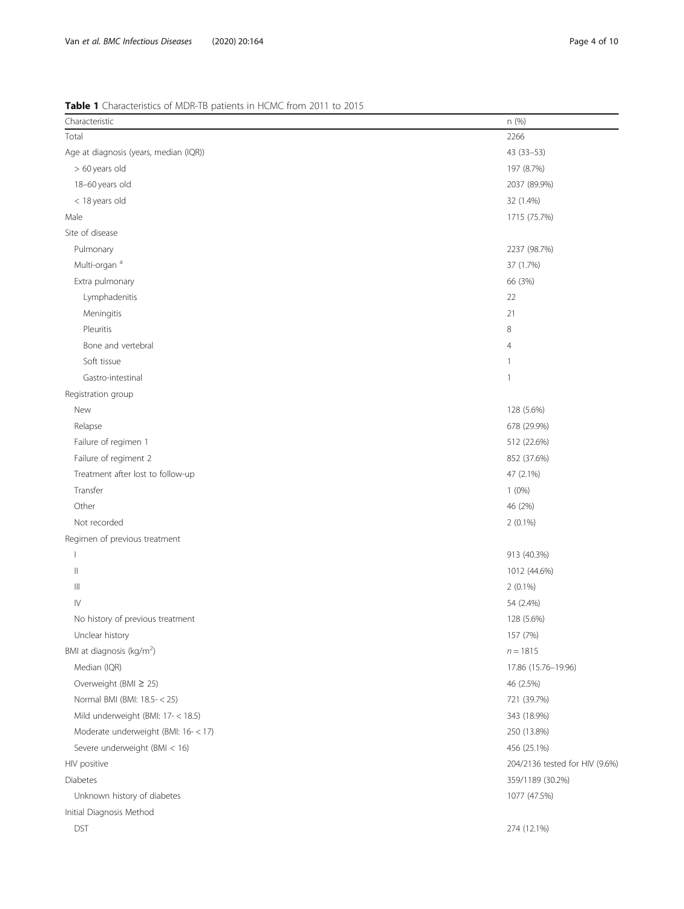<span id="page-3-0"></span>Table 1 Characteristics of MDR-TB patients in HCMC from 2011 to 2015

| Characteristic                         | n (%)                          |
|----------------------------------------|--------------------------------|
| Total                                  | 2266                           |
| Age at diagnosis (years, median (IQR)) | $43(33-53)$                    |
| > 60 years old                         | 197 (8.7%)                     |
| 18-60 years old                        | 2037 (89.9%)                   |
| < 18 years old                         | 32 (1.4%)                      |
| Male                                   | 1715 (75.7%)                   |
| Site of disease                        |                                |
| Pulmonary                              | 2237 (98.7%)                   |
| Multi-organ <sup>a</sup>               | 37 (1.7%)                      |
| Extra pulmonary                        | 66 (3%)                        |
| Lymphadenitis                          | 22                             |
| Meningitis                             | 21                             |
| Pleuritis                              | 8                              |
| Bone and vertebral                     | $\overline{4}$                 |
| Soft tissue                            | $\mathbf{1}$                   |
| Gastro-intestinal                      | $\mathbf{1}$                   |
| Registration group                     |                                |
| New                                    | 128 (5.6%)                     |
| Relapse                                | 678 (29.9%)                    |
| Failure of regimen 1                   | 512 (22.6%)                    |
| Failure of regiment 2                  | 852 (37.6%)                    |
| Treatment after lost to follow-up      | 47 (2.1%)                      |
| Transfer                               | $1(0\%)$                       |
| Other                                  | 46 (2%)                        |
| Not recorded                           | $2(0.1\%)$                     |
| Regimen of previous treatment          |                                |
| I                                      | 913 (40.3%)                    |
| $\mathbb{I}$                           | 1012 (44.6%)                   |
| Ш                                      | $2(0.1\%)$                     |
| IV                                     | 54 (2.4%)                      |
| No history of previous treatment       | 128 (5.6%)                     |
| Unclear history                        | 157 (7%)                       |
| BMI at diagnosis (kg/m <sup>2</sup> )  | $n = 1815$                     |
| Median (IQR)                           | 17.86 (15.76-19.96)            |
| Overweight (BMI ≥ 25)                  | 46 (2.5%)                      |
| Normal BMI (BMI: 18.5-<25)             | 721 (39.7%)                    |
| Mild underweight (BMI: 17- < 18.5)     | 343 (18.9%)                    |
| Moderate underweight (BMI: 16- < 17)   | 250 (13.8%)                    |
| Severe underweight (BMI < 16)          | 456 (25.1%)                    |
| HIV positive                           | 204/2136 tested for HIV (9.6%) |
| Diabetes                               | 359/1189 (30.2%)               |
| Unknown history of diabetes            | 1077 (47.5%)                   |
| Initial Diagnosis Method               |                                |
| <b>DST</b>                             | 274 (12.1%)                    |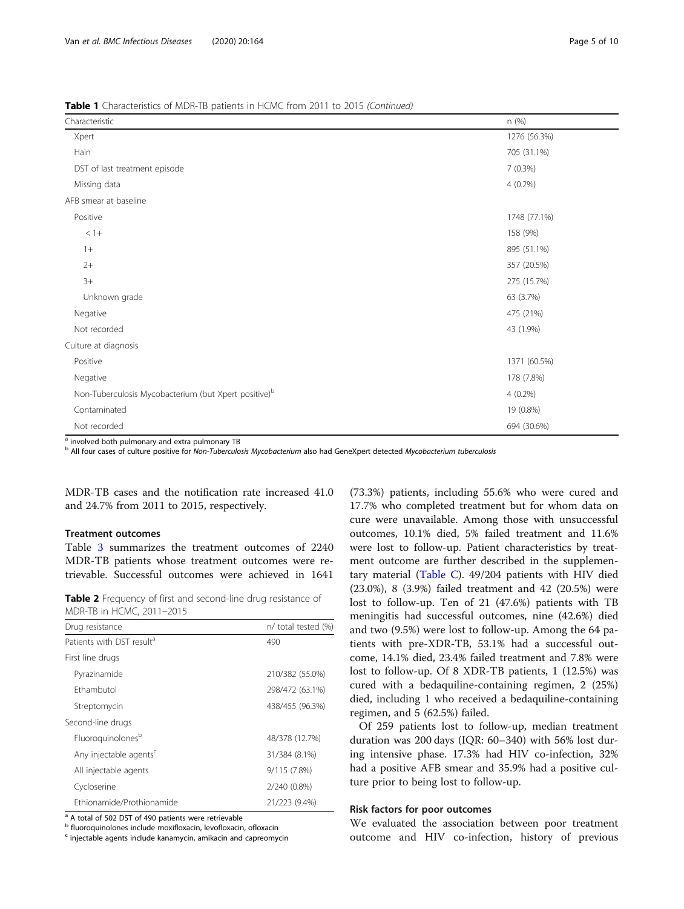a involved both pulmonary and extra pulmonary TB

<sup>b</sup> All four cases of culture positive for Non-Tuberculosis Mycobacterium also had GeneXpert detected Mycobacterium tuberculosis

MDR-TB cases and the notification rate increased 41.0 and 24.7% from 2011 to 2015, respectively.

# Treatment outcomes

Table [3](#page-5-0) summarizes the treatment outcomes of 2240 MDR-TB patients whose treatment outcomes were retrievable. Successful outcomes were achieved in 1641

Table 2 Frequency of first and second-line drug resistance of MDR-TB in HCMC, 2011–2015

| Drug resistance                       | n/ total tested (%) |
|---------------------------------------|---------------------|
| Patients with DST result <sup>a</sup> | 490                 |
| First line drugs                      |                     |
| Pyrazinamide                          | 210/382 (55.0%)     |
| Fthambutol                            | 298/472 (63.1%)     |
| Streptomycin                          | 438/455 (96.3%)     |
| Second-line drugs                     |                     |
| Fluoroquinolones <sup>b</sup>         | 48/378 (12.7%)      |
| Any injectable agents <sup>c</sup>    | 31/384 (8.1%)       |
| All injectable agents                 | 9/115 (7.8%)        |
| Cycloserine                           | 2/240 (0.8%)        |
| Ethionamide/Prothionamide             | 21/223 (9.4%)       |
|                                       |                     |

<sup>a</sup> A total of 502 DST of 490 patients were retrievable

<sup>b</sup> fluoroquinolones include moxifloxacin, levofloxacin, ofloxacin

 $\epsilon$  injectable agents include kanamycin, amikacin and capreomycin

(73.3%) patients, including 55.6% who were cured and 17.7% who completed treatment but for whom data on cure were unavailable. Among those with unsuccessful outcomes, 10.1% died, 5% failed treatment and 11.6% were lost to follow-up. Patient characteristics by treatment outcome are further described in the supplementary material [\(Table C](#page-8-0)). 49/204 patients with HIV died (23.0%), 8 (3.9%) failed treatment and 42 (20.5%) were lost to follow-up. Ten of 21 (47.6%) patients with TB meningitis had successful outcomes, nine (42.6%) died and two (9.5%) were lost to follow-up. Among the 64 patients with pre-XDR-TB, 53.1% had a successful outcome, 14.1% died, 23.4% failed treatment and 7.8% were lost to follow-up. Of 8 XDR-TB patients, 1 (12.5%) was cured with a bedaquiline-containing regimen, 2 (25%) died, including 1 who received a bedaquiline-containing regimen, and 5 (62.5%) failed.

Of 259 patients lost to follow-up, median treatment duration was 200 days (IQR: 60–340) with 56% lost during intensive phase. 17.3% had HIV co-infection, 32% had a positive AFB smear and 35.9% had a positive culture prior to being lost to follow-up.

## Risk factors for poor outcomes

We evaluated the association between poor treatment outcome and HIV co-infection, history of previous

<span id="page-4-0"></span>

|  | Table 1 Characteristics of MDR-TB patients in HCMC from 2011 to 2015 (Continued) |  |  |  |  |  |
|--|----------------------------------------------------------------------------------|--|--|--|--|--|
|  |                                                                                  |  |  |  |  |  |

| Characteristic                                                   | n (%)        |
|------------------------------------------------------------------|--------------|
| Xpert                                                            | 1276 (56.3%) |
| Hain                                                             | 705 (31.1%)  |
| DST of last treatment episode                                    | $7(0.3\%)$   |
| Missing data                                                     | $4(0.2\%)$   |
| AFB smear at baseline                                            |              |
| Positive                                                         | 1748 (77.1%) |
| $< 1 +$                                                          | 158 (9%)     |
| $1+$                                                             | 895 (51.1%)  |
| $2+$                                                             | 357 (20.5%)  |
| $3+$                                                             | 275 (15.7%)  |
| Unknown grade                                                    | 63 (3.7%)    |
| Negative                                                         | 475 (21%)    |
| Not recorded                                                     | 43 (1.9%)    |
| Culture at diagnosis                                             |              |
| Positive                                                         | 1371 (60.5%) |
| Negative                                                         | 178 (7.8%)   |
| Non-Tuberculosis Mycobacterium (but Xpert positive) <sup>b</sup> | $4(0.2\%)$   |
| Contaminated                                                     | 19 (0.8%)    |
| Not recorded                                                     | 694 (30.6%)  |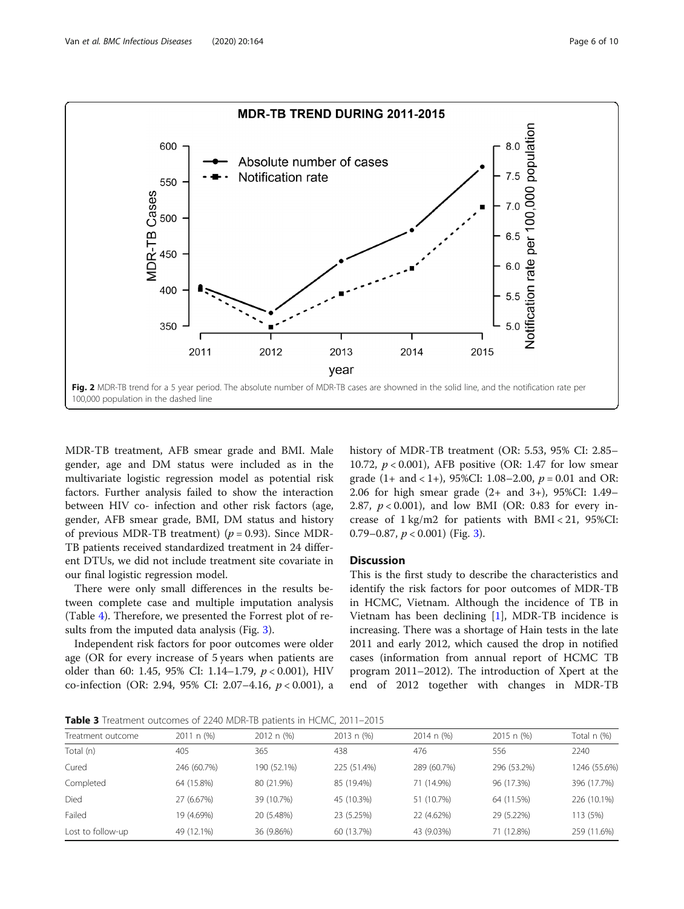<span id="page-5-0"></span>

MDR-TB treatment, AFB smear grade and BMI. Male gender, age and DM status were included as in the multivariate logistic regression model as potential risk factors. Further analysis failed to show the interaction between HIV co- infection and other risk factors (age, gender, AFB smear grade, BMI, DM status and history of previous MDR-TB treatment) ( $p = 0.93$ ). Since MDR-TB patients received standardized treatment in 24 different DTUs, we did not include treatment site covariate in our final logistic regression model.

There were only small differences in the results between complete case and multiple imputation analysis (Table [4\)](#page-6-0). Therefore, we presented the Forrest plot of results from the imputed data analysis (Fig. [3\)](#page-7-0).

Independent risk factors for poor outcomes were older age (OR for every increase of 5 years when patients are older than 60: 1.45, 95% CI: 1.14-1.79,  $p < 0.001$ ), HIV co-infection (OR: 2.94, 95% CI: 2.07–4.16,  $p < 0.001$ ), a history of MDR-TB treatment (OR: 5.53, 95% CI: 2.85– 10.72,  $p < 0.001$ ), AFB positive (OR: 1.47 for low smear grade  $(1+$  and  $< 1+$ ), 95%CI: 1.08–2.00,  $p = 0.01$  and OR: 2.06 for high smear grade (2+ and 3+), 95%CI: 1.49– 2.87,  $p < 0.001$ ), and low BMI (OR: 0.83 for every increase of 1 kg/m2 for patients with BMI < 21, 95%CI: 0.79–0.87,  $p < 0.001$ ) (Fig. [3](#page-7-0)).

# **Discussion**

This is the first study to describe the characteristics and identify the risk factors for poor outcomes of MDR-TB in HCMC, Vietnam. Although the incidence of TB in Vietnam has been declining [\[1](#page-8-0)], MDR-TB incidence is increasing. There was a shortage of Hain tests in the late 2011 and early 2012, which caused the drop in notified cases (information from annual report of HCMC TB program 2011–2012). The introduction of Xpert at the end of 2012 together with changes in MDR-TB

Table 3 Treatment outcomes of 2240 MDR-TB patients in HCMC, 2011-2015

| Treatment outcome | 2011 n (%)  | 2012 n (%)  | 2013 n (%)  | 2014 n (%)  | 2015 n (%)  | Total n (%)  |
|-------------------|-------------|-------------|-------------|-------------|-------------|--------------|
| Total (n)         | 405         | 365         | 438         | 476         | 556         | 2240         |
| Cured             | 246 (60.7%) | 190 (52.1%) | 225 (51.4%) | 289 (60.7%) | 296 (53.2%) | 1246 (55.6%) |
| Completed         | 64 (15.8%)  | 80 (21.9%)  | 85 (19.4%)  | 71 (14.9%)  | 96 (17.3%)  | 396 (17.7%)  |
| Died              | 27 (6.67%)  | 39 (10.7%)  | 45 (10.3%)  | 51 (10.7%)  | 64 (11.5%)  | 226 (10.1%)  |
| Failed            | 19 (4.69%)  | 20 (5.48%)  | 23 (5.25%)  | 22 (4.62%)  | 29 (5.22%)  | 113 (5%)     |
| Lost to follow-up | 49 (12.1%)  | 36 (9.86%)  | 60 (13.7%)  | 43 (9.03%)  | 71 (12.8%)  | 259 (11.6%)  |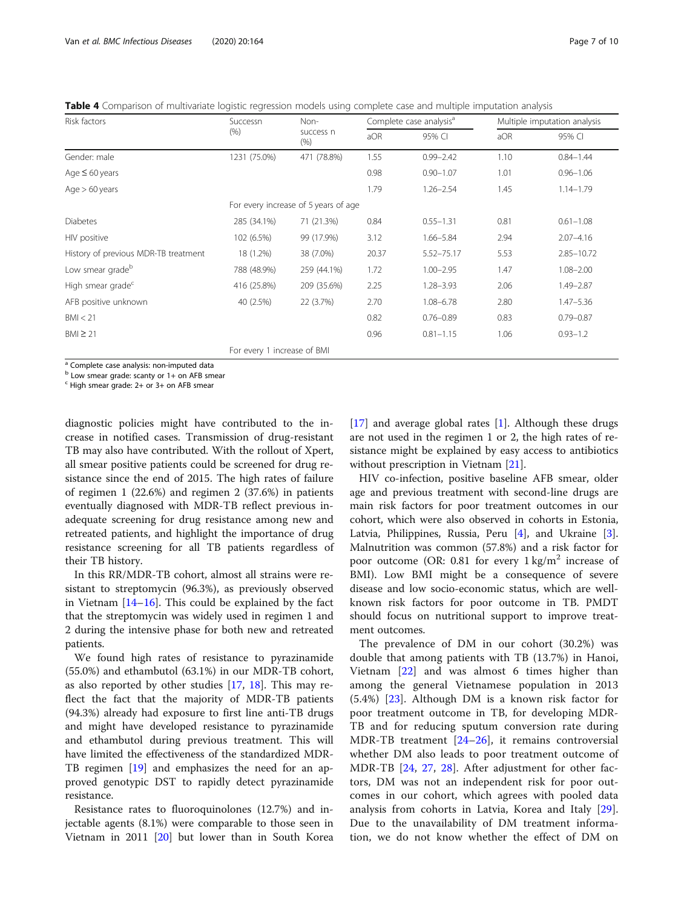<span id="page-6-0"></span>Table 4 Comparison of multivariate logistic regression models using complete case and multiple imputation analysis

| Risk factors                         | Successn<br>(%) | Non-<br>success n<br>(% )            |       | Complete case analysis <sup>a</sup> |      | Multiple imputation analysis |  |  |
|--------------------------------------|-----------------|--------------------------------------|-------|-------------------------------------|------|------------------------------|--|--|
|                                      |                 |                                      | aOR   | 95% CI                              | aOR  | 95% CI                       |  |  |
| Gender: male                         | 1231 (75.0%)    | 471 (78.8%)                          | 1.55  | $0.99 - 2.42$                       | 1.10 | $0.84 - 1.44$                |  |  |
| Age $\leq 60$ years                  |                 |                                      | 0.98  | $0.90 - 1.07$                       | 1.01 | $0.96 - 1.06$                |  |  |
| Age $> 60$ years                     |                 |                                      | 1.79  | $1.26 - 2.54$                       | 1.45 | $1.14 - 1.79$                |  |  |
|                                      |                 | For every increase of 5 years of age |       |                                     |      |                              |  |  |
| <b>Diabetes</b>                      | 285 (34.1%)     | 71 (21.3%)                           | 0.84  | $0.55 - 1.31$                       | 0.81 | $0.61 - 1.08$                |  |  |
| HIV positive                         | 102 (6.5%)      | 99 (17.9%)                           | 3.12  | $1.66 - 5.84$                       | 2.94 | $2.07 - 4.16$                |  |  |
| History of previous MDR-TB treatment | 18 (1.2%)       | 38 (7.0%)                            | 20.37 | 5.52-75.17                          | 5.53 | $2.85 - 10.72$               |  |  |
| Low smear grade <sup>b</sup>         | 788 (48.9%)     | 259 (44.1%)                          | 1.72  | $1.00 - 2.95$                       | 1.47 | $1.08 - 2.00$                |  |  |
| High smear grade <sup>c</sup>        | 416 (25.8%)     | 209 (35.6%)                          | 2.25  | $1.28 - 3.93$                       | 2.06 | $1.49 - 2.87$                |  |  |
| AFB positive unknown                 | 40 (2.5%)       | 22 (3.7%)                            | 2.70  | $1.08 - 6.78$                       | 2.80 | $1.47 - 5.36$                |  |  |
| BM < 21                              |                 |                                      | 0.82  | $0.76 - 0.89$                       | 0.83 | $0.79 - 0.87$                |  |  |
| $BM \geq 21$                         |                 |                                      | 0.96  | $0.81 - 1.15$                       | 1.06 | $0.93 - 1.2$                 |  |  |
|                                      |                 |                                      |       |                                     |      |                              |  |  |

<sup>a</sup> Complete case analysis: non-imputed data

b Low smear grade: scanty or 1+ on AFB smear

 $c$  High smear grade: 2+ or 3+ on AFB smear

diagnostic policies might have contributed to the increase in notified cases. Transmission of drug-resistant TB may also have contributed. With the rollout of Xpert, all smear positive patients could be screened for drug resistance since the end of 2015. The high rates of failure of regimen 1 (22.6%) and regimen 2 (37.6%) in patients eventually diagnosed with MDR-TB reflect previous inadequate screening for drug resistance among new and retreated patients, and highlight the importance of drug resistance screening for all TB patients regardless of their TB history.

In this RR/MDR-TB cohort, almost all strains were resistant to streptomycin (96.3%), as previously observed in Vietnam [\[14](#page-8-0)–[16](#page-8-0)]. This could be explained by the fact that the streptomycin was widely used in regimen 1 and 2 during the intensive phase for both new and retreated patients.

We found high rates of resistance to pyrazinamide (55.0%) and ethambutol (63.1%) in our MDR-TB cohort, as also reported by other studies [\[17](#page-8-0), [18\]](#page-8-0). This may reflect the fact that the majority of MDR-TB patients (94.3%) already had exposure to first line anti-TB drugs and might have developed resistance to pyrazinamide and ethambutol during previous treatment. This will have limited the effectiveness of the standardized MDR-TB regimen [\[19](#page-8-0)] and emphasizes the need for an approved genotypic DST to rapidly detect pyrazinamide resistance.

Resistance rates to fluoroquinolones (12.7%) and injectable agents (8.1%) were comparable to those seen in Vietnam in 2011 [\[20](#page-8-0)] but lower than in South Korea [[17\]](#page-8-0) and average global rates  $[1]$  $[1]$ . Although these drugs are not used in the regimen 1 or 2, the high rates of resistance might be explained by easy access to antibiotics without prescription in Vietnam [\[21\]](#page-9-0).

HIV co-infection, positive baseline AFB smear, older age and previous treatment with second-line drugs are main risk factors for poor treatment outcomes in our cohort, which were also observed in cohorts in Estonia, Latvia, Philippines, Russia, Peru [[4\]](#page-8-0), and Ukraine [\[3](#page-8-0)]. Malnutrition was common (57.8%) and a risk factor for poor outcome (OR: 0.81 for every  $1 \text{ kg/m}^2$  increase of BMI). Low BMI might be a consequence of severe disease and low socio-economic status, which are wellknown risk factors for poor outcome in TB. PMDT should focus on nutritional support to improve treatment outcomes.

The prevalence of DM in our cohort (30.2%) was double that among patients with TB (13.7%) in Hanoi, Vietnam [[22\]](#page-9-0) and was almost 6 times higher than among the general Vietnamese population in 2013 (5.4%) [[23](#page-9-0)]. Although DM is a known risk factor for poor treatment outcome in TB, for developing MDR-TB and for reducing sputum conversion rate during MDR-TB treatment  $[24–26]$  $[24–26]$  $[24–26]$  $[24–26]$ , it remains controversial whether DM also leads to poor treatment outcome of MDR-TB [[24](#page-9-0), [27,](#page-9-0) [28](#page-9-0)]. After adjustment for other factors, DM was not an independent risk for poor outcomes in our cohort, which agrees with pooled data analysis from cohorts in Latvia, Korea and Italy [\[29](#page-9-0)]. Due to the unavailability of DM treatment information, we do not know whether the effect of DM on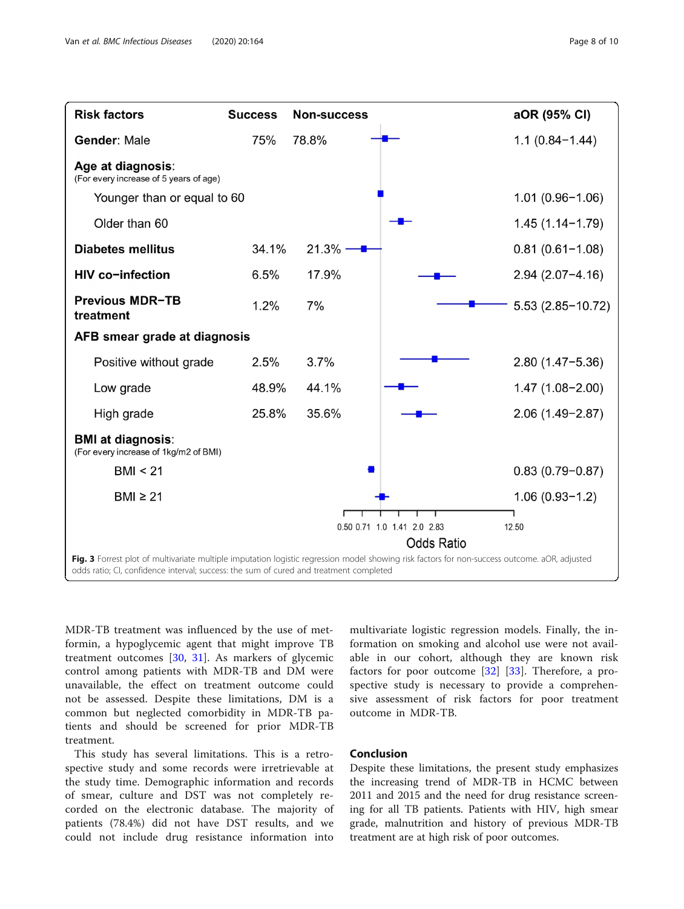<span id="page-7-0"></span>

MDR-TB treatment was influenced by the use of metformin, a hypoglycemic agent that might improve TB treatment outcomes [\[30](#page-9-0), [31](#page-9-0)]. As markers of glycemic control among patients with MDR-TB and DM were unavailable, the effect on treatment outcome could not be assessed. Despite these limitations, DM is a common but neglected comorbidity in MDR-TB patients and should be screened for prior MDR-TB treatment.

This study has several limitations. This is a retrospective study and some records were irretrievable at the study time. Demographic information and records of smear, culture and DST was not completely recorded on the electronic database. The majority of patients (78.4%) did not have DST results, and we could not include drug resistance information into

multivariate logistic regression models. Finally, the information on smoking and alcohol use were not available in our cohort, although they are known risk factors for poor outcome [\[32](#page-9-0)] [\[33](#page-9-0)]. Therefore, a prospective study is necessary to provide a comprehensive assessment of risk factors for poor treatment outcome in MDR-TB.

# Conclusion

Despite these limitations, the present study emphasizes the increasing trend of MDR-TB in HCMC between 2011 and 2015 and the need for drug resistance screening for all TB patients. Patients with HIV, high smear grade, malnutrition and history of previous MDR-TB treatment are at high risk of poor outcomes.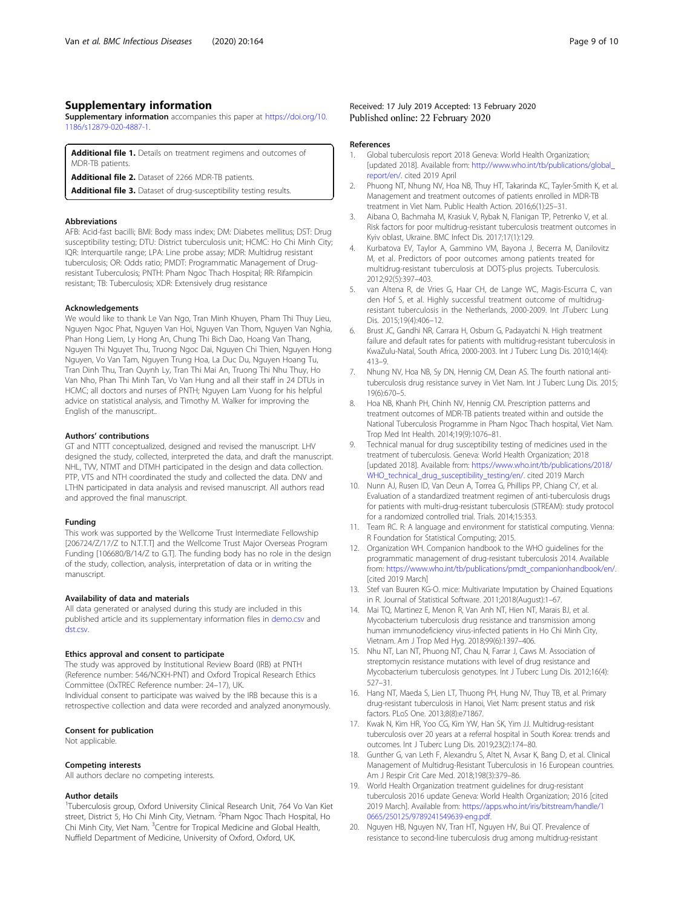# <span id="page-8-0"></span>Supplementary information

Supplementary information accompanies this paper at [https://doi.org/10.](https://doi.org/10.1186/s12879-020-4887-1) [1186/s12879-020-4887-1.](https://doi.org/10.1186/s12879-020-4887-1)

Additional file 1. Details on treatment regimens and outcomes of MDR-TB patients.

Additional file 2. Dataset of 2266 MDR-TB patients.

Additional file 3. Dataset of drug-susceptibility testing results.

#### Abbreviations

AFB: Acid-fast bacilli; BMI: Body mass index; DM: Diabetes mellitus; DST: Drug susceptibility testing; DTU: District tuberculosis unit; HCMC: Ho Chi Minh City; IQR: Interquartile range; LPA: Line probe assay; MDR: Multidrug resistant tuberculosis; OR: Odds ratio; PMDT: Programmatic Management of Drugresistant Tuberculosis; PNTH: Pham Ngoc Thach Hospital; RR: Rifampicin resistant; TB: Tuberculosis; XDR: Extensively drug resistance

#### Acknowledgements

We would like to thank Le Van Ngo, Tran Minh Khuyen, Pham Thi Thuy Lieu, Nguyen Ngoc Phat, Nguyen Van Hoi, Nguyen Van Thom, Nguyen Van Nghia, Phan Hong Liem, Ly Hong An, Chung Thi Bich Dao, Hoang Van Thang, Nguyen Thi Nguyet Thu, Truong Ngoc Dai, Nguyen Chi Thien, Nguyen Hong Nguyen, Vo Van Tam, Nguyen Trung Hoa, La Duc Du, Nguyen Hoang Tu, Tran Dinh Thu, Tran Quynh Ly, Tran Thi Mai An, Truong Thi Nhu Thuy, Ho Van Nho, Phan Thi Minh Tan, Vo Van Hung and all their staff in 24 DTUs in HCMC; all doctors and nurses of PNTH; Nguyen Lam Vuong for his helpful advice on statistical analysis, and Timothy M. Walker for improving the English of the manuscript..

#### Authors' contributions

GT and NTTT conceptualized, designed and revised the manuscript. LHV designed the study, collected, interpreted the data, and draft the manuscript. NHL, TVV, NTMT and DTMH participated in the design and data collection. PTP, VTS and NTH coordinated the study and collected the data. DNV and LTHN participated in data analysis and revised manuscript. All authors read and approved the final manuscript.

#### Funding

This work was supported by the Wellcome Trust Intermediate Fellowship [206724/Z/17/Z to N.T.T.T] and the Wellcome Trust Major Overseas Program Funding [106680/B/14/Z to G.T]. The funding body has no role in the design of the study, collection, analysis, interpretation of data or in writing the manuscript.

# Availability of data and materials

All data generated or analysed during this study are included in this published article and its supplementary information files in demo.csv and dst.csv.

#### Ethics approval and consent to participate

The study was approved by Institutional Review Board (IRB) at PNTH (Reference number: 546/NCKH-PNT) and Oxford Tropical Research Ethics Committee (OxTREC Reference number: 24–17), UK. Individual consent to participate was waived by the IRB because this is a retrospective collection and data were recorded and analyzed anonymously.

#### Consent for publication

Not applicable.

#### Competing interests

All authors declare no competing interests.

#### Author details

<sup>1</sup>Tuberculosis group, Oxford University Clinical Research Unit, 764 Vo Van Kiet street, District 5, Ho Chi Minh City, Vietnam. <sup>2</sup>Pham Ngoc Thach Hospital, Ho Chi Minh City, Viet Nam. <sup>3</sup>Centre for Tropical Medicine and Global Health, Nuffield Department of Medicine, University of Oxford, Oxford, UK.

## Received: 17 July 2019 Accepted: 13 February 2020 Published online: 22 February 2020

#### References

- 1. Global tuberculosis report 2018 Geneva: World Health Organization; [updated 2018]. Available from: [http://www.who.int/tb/publications/global\\_](http://www.who.int/tb/publications/global_report/en/) [report/en/](http://www.who.int/tb/publications/global_report/en/). cited 2019 April
- 2. Phuong NT, Nhung NV, Hoa NB, Thuy HT, Takarinda KC, Tayler-Smith K, et al. Management and treatment outcomes of patients enrolled in MDR-TB treatment in Viet Nam. Public Health Action. 2016;6(1):25–31.
- 3. Aibana O, Bachmaha M, Krasiuk V, Rybak N, Flanigan TP, Petrenko V, et al. Risk factors for poor multidrug-resistant tuberculosis treatment outcomes in Kyiv oblast, Ukraine. BMC Infect Dis. 2017;17(1):129.
- Kurbatova EV, Taylor A, Gammino VM, Bayona J, Becerra M, Danilovitz M, et al. Predictors of poor outcomes among patients treated for multidrug-resistant tuberculosis at DOTS-plus projects. Tuberculosis. 2012;92(5):397–403.
- 5. van Altena R, de Vries G, Haar CH, de Lange WC, Magis-Escurra C, van den Hof S, et al. Highly successful treatment outcome of multidrugresistant tuberculosis in the Netherlands, 2000-2009. Int JTuberc Lung Dis. 2015;19(4):406–12.
- 6. Brust JC, Gandhi NR, Carrara H, Osburn G, Padayatchi N. High treatment failure and default rates for patients with multidrug-resistant tuberculosis in KwaZulu-Natal, South Africa, 2000-2003. Int J Tuberc Lung Dis. 2010;14(4): 413–9.
- 7. Nhung NV, Hoa NB, Sy DN, Hennig CM, Dean AS. The fourth national antituberculosis drug resistance survey in Viet Nam. Int J Tuberc Lung Dis. 2015; 19(6):670–5.
- 8. Hoa NB, Khanh PH, Chinh NV, Hennig CM. Prescription patterns and treatment outcomes of MDR-TB patients treated within and outside the National Tuberculosis Programme in Pham Ngoc Thach hospital, Viet Nam. Trop Med Int Health. 2014;19(9):1076–81.
- 9. Technical manual for drug susceptibility testing of medicines used in the treatment of tuberculosis. Geneva: World Health Organization; 2018 [updated 2018]. Available from: [https://www.who.int/tb/publications/2018/](https://www.who.int/tb/publications/2018/WHO_technical_drug_susceptibility_testing/en/) [WHO\\_technical\\_drug\\_susceptibility\\_testing/en/.](https://www.who.int/tb/publications/2018/WHO_technical_drug_susceptibility_testing/en/) cited 2019 March
- 10. Nunn AJ, Rusen ID, Van Deun A, Torrea G, Phillips PP, Chiang CY, et al. Evaluation of a standardized treatment regimen of anti-tuberculosis drugs for patients with multi-drug-resistant tuberculosis (STREAM): study protocol for a randomized controlled trial. Trials. 2014;15:353.
- 11. Team RC. R: A language and environment for statistical computing. Vienna: R Foundation for Statistical Computing; 2015.
- 12. Organization WH. Companion handbook to the WHO guidelines for the programmatic management of drug-resistant tuberculosis 2014. Available from: [https://www.who.int/tb/publications/pmdt\\_companionhandbook/en/.](https://www.who.int/tb/publications/pmdt_companionhandbook/en/) [cited 2019 March]
- 13. Stef van Buuren KG-O. mice: Multivariate Imputation by Chained Equations in R. Journal of Statistical Software. 2011;2018(August):1–67.
- 14. Mai TQ, Martinez E, Menon R, Van Anh NT, Hien NT, Marais BJ, et al. Mycobacterium tuberculosis drug resistance and transmission among human immunodeficiency virus-infected patients in Ho Chi Minh City, Vietnam. Am J Trop Med Hyg. 2018;99(6):1397–406.
- 15. Nhu NT, Lan NT, Phuong NT, Chau N, Farrar J, Caws M. Association of streptomycin resistance mutations with level of drug resistance and Mycobacterium tuberculosis genotypes. Int J Tuberc Lung Dis. 2012;16(4): 527–31.
- 16. Hang NT, Maeda S, Lien LT, Thuong PH, Hung NV, Thuy TB, et al. Primary drug-resistant tuberculosis in Hanoi, Viet Nam: present status and risk factors. PLoS One. 2013;8(8):e71867.
- 17. Kwak N, Kim HR, Yoo CG, Kim YW, Han SK, Yim JJ. Multidrug-resistant tuberculosis over 20 years at a referral hospital in South Korea: trends and outcomes. Int J Tuberc Lung Dis. 2019;23(2):174–80.
- 18. Gunther G, van Leth F, Alexandru S, Altet N, Avsar K, Bang D, et al. Clinical Management of Multidrug-Resistant Tuberculosis in 16 European countries. Am J Respir Crit Care Med. 2018;198(3):379–86.
- 19. World Health Organization treatment guidelines for drug-resistant tuberculosis 2016 update Geneva: World Health Organization; 2016 [cited 2019 March]. Available from: [https://apps.who.int/iris/bitstream/handle/1](https://apps.who.int/iris/bitstream/handle/10665/250125/9789241549639-eng.pdf) [0665/250125/9789241549639-eng.pdf](https://apps.who.int/iris/bitstream/handle/10665/250125/9789241549639-eng.pdf).
- 20. Nguyen HB, Nguyen NV, Tran HT, Nguyen HV, Bui QT. Prevalence of resistance to second-line tuberculosis drug among multidrug-resistant